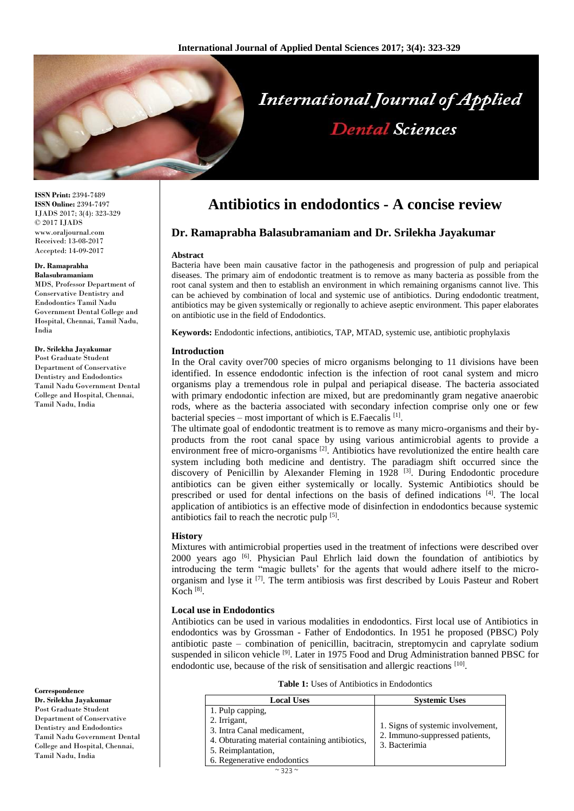

**ISSN Print:** 2394-7489 **ISSN Online:** 2394-7497 IJADS 2017; 3(4): 323-329 © 2017 IJADS www.oraljournal.com Received: 13-08-2017 Accepted: 14-09-2017

#### **Dr. Ramaprabha**

**Balasubramaniam** MDS, Professor Department of Conservative Dentistry and Endodontics Tamil Nadu Government Dental College and Hospital, Chennai, Tamil Nadu, India

#### **Dr. Srilekha Jayakumar**

Post Graduate Student Department of Conservative Dentistry and Endodontics Tamil Nadu Government Dental College and Hospital, Chennai, Tamil Nadu, India

**Correspondence**

**Dr. Srilekha Jayakumar** Post Graduate Student Department of Conservative Dentistry and Endodontics Tamil Nadu Government Dental College and Hospital, Chennai, Tamil Nadu, India

# **Antibiotics in endodontics - A concise review**

# **Dr. Ramaprabha Balasubramaniam and Dr. Srilekha Jayakumar**

#### **Abstract**

Bacteria have been main causative factor in the pathogenesis and progression of pulp and periapical diseases. The primary aim of endodontic treatment is to remove as many bacteria as possible from the root canal system and then to establish an environment in which remaining organisms cannot live. This can be achieved by combination of local and systemic use of antibiotics. During endodontic treatment, antibiotics may be given systemically or regionally to achieve aseptic environment. This paper elaborates on antibiotic use in the field of Endodontics.

**Keywords:** Endodontic infections, antibiotics, TAP, MTAD, systemic use, antibiotic prophylaxis

#### **Introduction**

In the Oral cavity over700 species of micro organisms belonging to 11 divisions have been identified. In essence endodontic infection is the infection of root canal system and micro organisms play a tremendous role in pulpal and periapical disease. The bacteria associated with primary endodontic infection are mixed, but are predominantly gram negative anaerobic rods, where as the bacteria associated with secondary infection comprise only one or few bacterial species – most important of which is E.Faecalis<sup>[1]</sup>.

The ultimate goal of endodontic treatment is to remove as many micro-organisms and their byproducts from the root canal space by using various antimicrobial agents to provide a environment free of micro-organisms  $^{[2]}$ . Antibiotics have revolutionized the entire health care system including both medicine and dentistry. The paradiagm shift occurred since the discovery of Penicillin by Alexander Fleming in 1928<sup>[3]</sup>. During Endodontic procedure antibiotics can be given either systemically or locally. Systemic Antibiotics should be prescribed or used for dental infections on the basis of defined indications [4]. The local application of antibiotics is an effective mode of disinfection in endodontics because systemic antibiotics fail to reach the necrotic pulp [5].

#### **History**

Mixtures with antimicrobial properties used in the treatment of infections were described over 2000 years ago <sup>[6]</sup>. Physician Paul Ehrlich laid down the foundation of antibiotics by introducing the term "magic bullets' for the agents that would adhere itself to the microorganism and lyse it <sup>[7]</sup>. The term antibiosis was first described by Louis Pasteur and Robert Koch [8] .

#### **Local use in Endodontics**

Antibiotics can be used in various modalities in endodontics. First local use of Antibiotics in endodontics was by Grossman - Father of Endodontics. In 1951 he proposed (PBSC) Poly antibiotic paste – combination of penicillin, bacitracin, streptomycin and caprylate sodium suspended in silicon vehicle<sup>[9]</sup>. Later in 1975 Food and Drug Administration banned PBSC for endodontic use, because of the risk of sensitisation and allergic reactions [10].

**Table 1:** Uses of Antibiotics in Endodontics

| <b>Local Uses</b>                              | <b>Systemic Uses</b>                                                                 |
|------------------------------------------------|--------------------------------------------------------------------------------------|
| 1. Pulp capping,                               |                                                                                      |
| 2. Irrigant,                                   | 1. Signs of systemic involvement,<br>2. Immuno-suppressed patients,<br>3. Bacterimia |
| 3. Intra Canal medicament,                     |                                                                                      |
| 4. Obturating material containing antibiotics, |                                                                                      |
| 5. Reimplantation,                             |                                                                                      |
| 6. Regenerative endodontics                    |                                                                                      |
| $\sim$ 272 $\sim$                              |                                                                                      |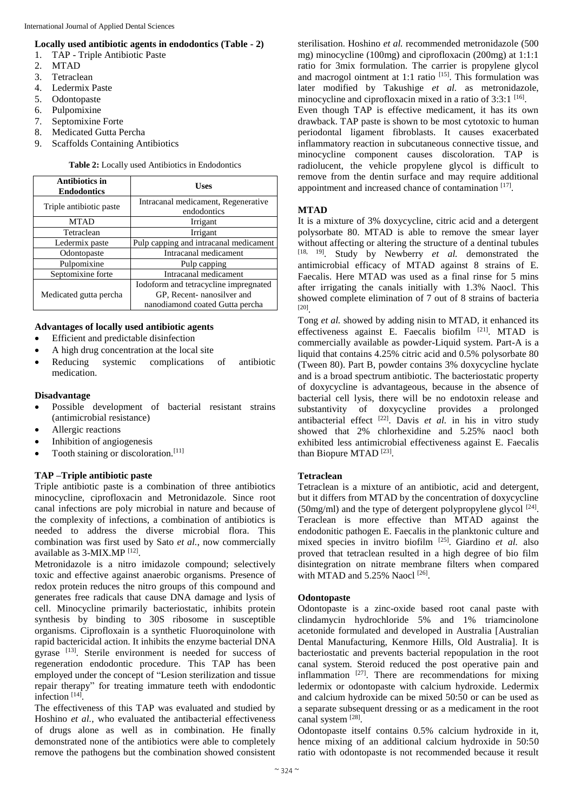## **Locally used antibiotic agents in endodontics (Table - 2)**

- 1. TAP Triple Antibiotic Paste
- 2. MTAD
- 3. Tetraclean
- 4. Ledermix Paste
- 5. Odontopaste
- 6. Pulpomixine
- 7. Septomixine Forte
- 8. Medicated Gutta Percha
- 9. Scaffolds Containing Antibiotics

**Table 2:** Locally used Antibiotics in Endodontics

| <b>Antibiotics in</b><br><b>Endodontics</b> | <b>Uses</b>                                        |  |
|---------------------------------------------|----------------------------------------------------|--|
| Triple antibiotic paste                     | Intracanal medicament, Regenerative<br>endodontics |  |
| <b>MTAD</b>                                 | Irrigant                                           |  |
| Tetraclean                                  | Irrigant                                           |  |
| Ledermix paste                              | Pulp capping and intracanal medicament             |  |
| Odontopaste                                 | Intracanal medicament                              |  |
| Pulpomixine                                 | Pulp capping                                       |  |
| Septomixine forte                           | Intracanal medicament                              |  |
|                                             | Iodoform and tetracycline impregnated              |  |
| Medicated gutta percha                      | GP, Recent-nanosilver and                          |  |
|                                             | nanodiamond coated Gutta percha                    |  |

#### **Advantages of locally used antibiotic agents**

- Efficient and predictable disinfection
- A high drug concentration at the local site
- Reducing systemic complications of antibiotic medication.

#### **Disadvantage**

- Possible development of bacterial resistant strains (antimicrobial resistance)
- Allergic reactions
- Inhibition of angiogenesis
- Tooth staining or discoloration.[11]

## **TAP –Triple antibiotic paste**

Triple antibiotic paste is a combination of three antibiotics minocycline, ciprofloxacin and Metronidazole. Since root canal infections are poly microbial in nature and because of the complexity of infections, a combination of antibiotics is needed to address the diverse microbial flora. This combination was first used by Sato *et al.*, now commercially available as 3-MIX.MP [12].

Metronidazole is a nitro imidazole compound; selectively toxic and effective against anaerobic organisms. Presence of redox protein reduces the nitro groups of this compound and generates free radicals that cause DNA damage and lysis of cell. Minocycline primarily bacteriostatic, inhibits protein synthesis by binding to 30S ribosome in susceptible organisms. Ciprofloxain is a synthetic Fluoroquinolone with rapid bactericidal action. It inhibits the enzyme bacterial DNA gyrase [13]. Sterile environment is needed for success of regeneration endodontic procedure. This TAP has been employed under the concept of "Lesion sterilization and tissue repair therapy" for treating immature teeth with endodontic infection<sup>[14]</sup>.

The effectiveness of this TAP was evaluated and studied by Hoshino *et al.*, who evaluated the antibacterial effectiveness of drugs alone as well as in combination. He finally demonstrated none of the antibiotics were able to completely remove the pathogens but the combination showed consistent sterilisation. Hoshino *et al.* recommended metronidazole (500 mg) minocycline (100mg) and ciprofloxacin (200mg) at 1:1:1 ratio for 3mix formulation. The carrier is propylene glycol and macrogol ointment at 1:1 ratio<sup>[15]</sup>. This formulation was later modified by Takushige *et al.* as metronidazole, minocycline and ciprofloxacin mixed in a ratio of 3:3:1 [16]. Even though TAP is effective medicament, it has its own drawback. TAP paste is shown to be most cytotoxic to human periodontal ligament fibroblasts. It causes exacerbated inflammatory reaction in subcutaneous connective tissue, and minocycline component causes discoloration. TAP is radiolucent, the vehicle propylene glycol is difficult to remove from the dentin surface and may require additional appointment and increased chance of contamination [17].

## **MTAD**

It is a mixture of 3% doxycycline, citric acid and a detergent polysorbate 80. MTAD is able to remove the smear layer without affecting or altering the structure of a dentinal tubules [18, 19] . Study by Newberry *et al.* demonstrated the antimicrobial efficacy of MTAD against 8 strains of E. Faecalis. Here MTAD was used as a final rinse for 5 mins after irrigating the canals initially with 1.3% Naocl. This showed complete elimination of 7 out of 8 strains of bacteria [20] .

Tong *et al.* showed by adding nisin to MTAD, it enhanced its effectiveness against E. Faecalis biofilm [21]. MTAD is commercially available as powder-Liquid system. Part-A is a liquid that contains 4.25% citric acid and 0.5% polysorbate 80 (Tween 80). Part B, powder contains 3% doxycycline hyclate and is a broad spectrum antibiotic. The bacteriostatic property of doxycycline is advantageous, because in the absence of bacterial cell lysis, there will be no endotoxin release and substantivity of doxycycline provides a prolonged antibacterial effect <sup>[22]</sup>. Davis *et al.* in his in vitro study showed that 2% chlorhexidine and 5.25% naocl both exhibited less antimicrobial effectiveness against E. Faecalis than Biopure MTAD<sup>[23]</sup>.

#### **Tetraclean**

Tetraclean is a mixture of an antibiotic, acid and detergent, but it differs from MTAD by the concentration of doxycycline  $(50mg/ml)$  and the type of detergent polypropylene glycol  $[24]$ . Teraclean is more effective than MTAD against the endodonitic pathogen E. Faecalis in the planktonic culture and mixed species in invitro biofilm [25] . Giardino *et al.* also proved that tetraclean resulted in a high degree of bio film disintegration on nitrate membrane filters when compared with MTAD and  $5.25\%$  Naocl  $^{[26]}$ .

#### **Odontopaste**

Odontopaste is a zinc-oxide based root canal paste with clindamycin hydrochloride 5% and 1% triamcinolone acetonide formulated and developed in Australia [Australian Dental Manufacturing, Kenmore Hills, Old Australia]. It is bacteriostatic and prevents bacterial repopulation in the root canal system. Steroid reduced the post operative pain and inflammation  $[27]$ . There are recommendations for mixing ledermix or odontopaste with calcium hydroxide. Ledermix and calcium hydroxide can be mixed 50:50 or can be used as a separate subsequent dressing or as a medicament in the root canal system [28].

Odontopaste itself contains 0.5% calcium hydroxide in it, hence mixing of an additional calcium hydroxide in 50:50 ratio with odontopaste is not recommended because it result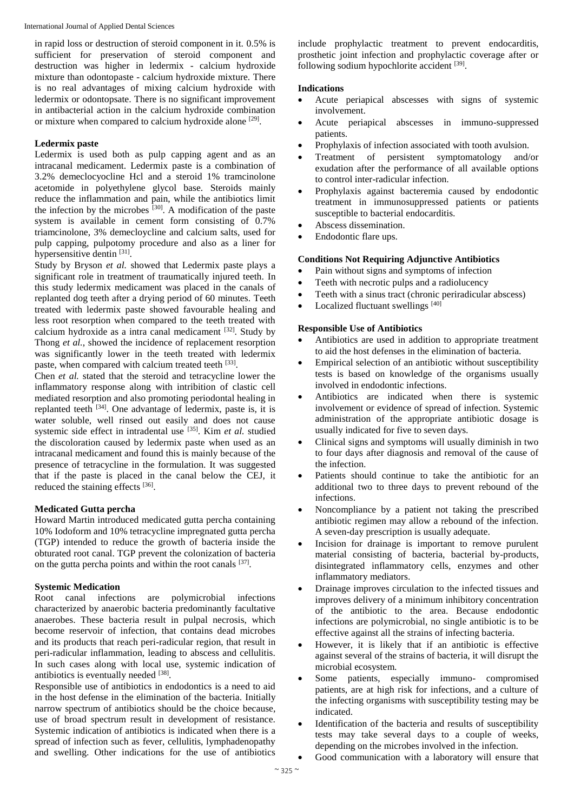in rapid loss or destruction of steroid component in it. 0.5% is sufficient for preservation of steroid component and destruction was higher in ledermix - calcium hydroxide mixture than odontopaste - calcium hydroxide mixture. There is no real advantages of mixing calcium hydroxide with ledermix or odontopsate. There is no significant improvement in antibacterial action in the calcium hydroxide combination or mixture when compared to calcium hydroxide alone <sup>[29]</sup>.

# **Ledermix paste**

Ledermix is used both as pulp capping agent and as an intracanal medicament. Ledermix paste is a combination of 3.2% demeclocyocline Hcl and a steroid 1% tramcinolone acetomide in polyethylene glycol base. Steroids mainly reduce the inflammation and pain, while the antibiotics limit the infection by the microbes  $[30]$ . A modification of the paste system is available in cement form consisting of 0.7% triamcinolone, 3% demecloycline and calcium salts, used for pulp capping, pulpotomy procedure and also as a liner for hypersensitive dentin [31].

Study by Bryson *et al.* showed that Ledermix paste plays a significant role in treatment of traumatically injured teeth. In this study ledermix medicament was placed in the canals of replanted dog teeth after a drying period of 60 minutes. Teeth treated with ledermix paste showed favourable healing and less root resorption when compared to the teeth treated with calcium hydroxide as a intra canal medicament  $[32]$ . Study by Thong *et al.*, showed the incidence of replacement resorption was significantly lower in the teeth treated with ledermix paste, when compared with calcium treated teeth [33].

Chen *et al.* stated that the steroid and tetracycline lower the inflammatory response along with intribition of clastic cell mediated resorption and also promoting periodontal healing in replanted teeth <sup>[34]</sup>. One advantage of ledermix, paste is, it is water soluble, well rinsed out easily and does not cause systemic side effect in intradental use [35] . Kim *et al.* studied the discoloration caused by ledermix paste when used as an intracanal medicament and found this is mainly because of the presence of tetracycline in the formulation. It was suggested that if the paste is placed in the canal below the CEJ, it reduced the staining effects [36].

## **Medicated Gutta percha**

Howard Martin introduced medicated gutta percha containing 10% Iodoform and 10% tetracycline impregnated gutta percha (TGP) intended to reduce the growth of bacteria inside the obturated root canal. TGP prevent the colonization of bacteria on the gutta percha points and within the root canals [37].

## **Systemic Medication**

Root canal infections are polymicrobial infections characterized by anaerobic bacteria predominantly facultative anaerobes. These bacteria result in pulpal necrosis, which become reservoir of infection, that contains dead microbes and its products that reach peri-radicular region, that result in peri-radicular inflammation, leading to abscess and cellulitis. In such cases along with local use, systemic indication of antibiotics is eventually needed [38].

Responsible use of antibiotics in endodontics is a need to aid in the host defense in the elimination of the bacteria. Initially narrow spectrum of antibiotics should be the choice because, use of broad spectrum result in development of resistance. Systemic indication of antibiotics is indicated when there is a spread of infection such as fever, cellulitis, lymphadenopathy and swelling. Other indications for the use of antibiotics

include prophylactic treatment to prevent endocarditis, prosthetic joint infection and prophylactic coverage after or following sodium hypochlorite accident [39].

# **Indications**

- Acute periapical abscesses with signs of systemic involvement.
- Acute periapical abscesses in immuno-suppressed patients.
- Prophylaxis of infection associated with tooth avulsion.
- Treatment of persistent symptomatology and/or exudation after the performance of all available options to control inter-radicular infection.
- Prophylaxis against bacteremia caused by endodontic treatment in immunosuppressed patients or patients susceptible to bacterial endocarditis.
- Abscess dissemination.
- Endodontic flare ups.

# **Conditions Not Requiring Adjunctive Antibiotics**

- Pain without signs and symptoms of infection
- Teeth with necrotic pulps and a radiolucency
- Teeth with a sinus tract (chronic periradicular abscess)
- Localized fluctuant swellings [40]

# **Responsible Use of Antibiotics**

- Antibiotics are used in addition to appropriate treatment to aid the host defenses in the elimination of bacteria.
- Empirical selection of an antibiotic without susceptibility tests is based on knowledge of the organisms usually involved in endodontic infections.
- Antibiotics are indicated when there is systemic involvement or evidence of spread of infection. Systemic administration of the appropriate antibiotic dosage is usually indicated for five to seven days.
- Clinical signs and symptoms will usually diminish in two to four days after diagnosis and removal of the cause of the infection.
- Patients should continue to take the antibiotic for an additional two to three days to prevent rebound of the infections.
- Noncompliance by a patient not taking the prescribed antibiotic regimen may allow a rebound of the infection. A seven-day prescription is usually adequate.
- Incision for drainage is important to remove purulent material consisting of bacteria, bacterial by-products, disintegrated inflammatory cells, enzymes and other inflammatory mediators.
- Drainage improves circulation to the infected tissues and improves delivery of a minimum inhibitory concentration of the antibiotic to the area. Because endodontic infections are polymicrobial, no single antibiotic is to be effective against all the strains of infecting bacteria.
- However, it is likely that if an antibiotic is effective against several of the strains of bacteria, it will disrupt the microbial ecosystem.
- Some patients, especially immuno- compromised patients, are at high risk for infections, and a culture of the infecting organisms with susceptibility testing may be indicated.
- Identification of the bacteria and results of susceptibility tests may take several days to a couple of weeks, depending on the microbes involved in the infection.
- Good communication with a laboratory will ensure that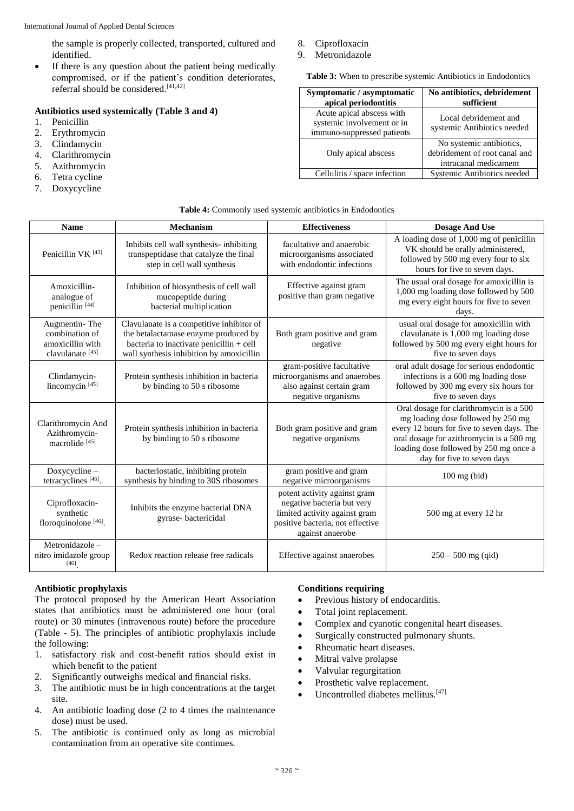the sample is properly collected, transported, cultured and identified.

• If there is any question about the patient being medically compromised, or if the patient's condition deteriorates, referral should be considered.<sup>[41,42]</sup>

## **Antibiotics used systemically (Table 3 and 4)**

- 1. Penicillin
- 2. Erythromycin
- 3. Clindamycin
- 4. Clarithromycin
- 5. Azithromycin
- 6. Tetra cycline
- 7. Doxycycline
- 8. Ciprofloxacin
- 9. Metronidazole

**Table 3:** When to prescribe systemic Antibiotics in Endodontics

| Symptomatic / asymptomatic<br>apical periodontitis                                    | No antibiotics, debridement<br>sufficient                                          |  |
|---------------------------------------------------------------------------------------|------------------------------------------------------------------------------------|--|
| Acute apical abscess with<br>systemic involvement or in<br>immuno-suppressed patients | Local debridement and<br>systemic Antibiotics needed                               |  |
| Only apical abscess                                                                   | No systemic antibiotics,<br>debridement of root canal and<br>intracanal medicament |  |
| Cellulitis / space infection                                                          | Systemic Antibiotics needed                                                        |  |

#### **Table 4:** Commonly used systemic antibiotics in Endodontics

| <b>Name</b>                                                                        | <b>Mechanism</b>                                                                                                                                                          | <b>Effectiveness</b>                                                                                                                                | <b>Dosage And Use</b>                                                                                                                                                                                                                           |
|------------------------------------------------------------------------------------|---------------------------------------------------------------------------------------------------------------------------------------------------------------------------|-----------------------------------------------------------------------------------------------------------------------------------------------------|-------------------------------------------------------------------------------------------------------------------------------------------------------------------------------------------------------------------------------------------------|
| Penicillin VK <sup>[43]</sup>                                                      | Inhibits cell wall synthesis- inhibiting<br>transpeptidase that catalyze the final<br>step in cell wall synthesis                                                         | facultative and anaerobic<br>microorganisms associated<br>with endodontic infections                                                                | A loading dose of 1,000 mg of penicillin<br>VK should be orally administered,<br>followed by 500 mg every four to six<br>hours for five to seven days.                                                                                          |
| Amoxicillin-<br>analogue of<br>penicillin <sup>[44]</sup>                          | Inhibition of biosynthesis of cell wall<br>mucopeptide during<br>bacterial multiplication                                                                                 | Effective against gram<br>positive than gram negative                                                                                               | The usual oral dosage for amoxicillin is<br>1,000 mg loading dose followed by 500<br>mg every eight hours for five to seven<br>days.                                                                                                            |
| Augmentin-The<br>combination of<br>amoxicillin with<br>clavulanate <sup>[45]</sup> | Clavulanate is a competitive inhibitor of<br>the betalactamase enzyme produced by<br>bacteria to inactivate penicillin + cell<br>wall synthesis inhibition by amoxicillin | Both gram positive and gram<br>negative                                                                                                             | usual oral dosage for amoxicillin with<br>clavulanate is 1,000 mg loading dose<br>followed by 500 mg every eight hours for<br>five to seven days                                                                                                |
| Clindamycin-<br>lincomycin <sup>[45]</sup>                                         | Protein synthesis inhibition in bacteria<br>by binding to 50 s ribosome                                                                                                   | gram-positive facultative<br>microorganisms and anaerobes<br>also against certain gram<br>negative organisms                                        | oral adult dosage for serious endodontic<br>infections is a 600 mg loading dose<br>followed by 300 mg every six hours for<br>five to seven days                                                                                                 |
| Clarithromycin And<br>Azithromycin-<br>macrolide <sup>[45]</sup>                   | Protein synthesis inhibition in bacteria<br>by binding to 50 s ribosome                                                                                                   | Both gram positive and gram<br>negative organisms                                                                                                   | Oral dosage for clarithromycin is a 500<br>mg loading dose followed by 250 mg<br>every 12 hours for five to seven days. The<br>oral dosage for azithromycin is a 500 mg<br>loading dose followed by 250 mg once a<br>day for five to seven days |
| Doxycycline-<br>tetracyclines <sup>[46]</sup> .                                    | bacteriostatic, inhibiting protein<br>synthesis by binding to 30S ribosomes                                                                                               | gram positive and gram<br>negative microorganisms                                                                                                   | $100$ mg (bid)                                                                                                                                                                                                                                  |
| Ciprofloxacin-<br>synthetic<br>floroquinolone <sup>[46]</sup> .                    | Inhibits the enzyme bacterial DNA<br>gyrase-bactericidal                                                                                                                  | potent activity against gram<br>negative bacteria but very<br>limited activity against gram<br>positive bacteria, not effective<br>against anaerobe | 500 mg at every 12 hr                                                                                                                                                                                                                           |
| Metronidazole-<br>nitro imidazole group<br>[46]                                    | Redox reaction release free radicals                                                                                                                                      | Effective against anaerobes                                                                                                                         | $250 - 500$ mg (qid)                                                                                                                                                                                                                            |

#### **Antibiotic prophylaxis**

The protocol proposed by the American Heart Association states that antibiotics must be administered one hour (oral route) or 30 minutes (intravenous route) before the procedure (Table - 5). The principles of antibiotic prophylaxis include the following:

- 1. satisfactory risk and cost-benefit ratios should exist in which benefit to the patient
- 2. Significantly outweighs medical and financial risks.
- 3. The antibiotic must be in high concentrations at the target site.
- 4. An antibiotic loading dose (2 to 4 times the maintenance dose) must be used.
- 5. The antibiotic is continued only as long as microbial contamination from an operative site continues.

## **Conditions requiring**

- Previous history of endocarditis.
- Total joint replacement.
- Complex and cyanotic congenital heart diseases.
- Surgically constructed pulmonary shunts.
- Rheumatic heart diseases.
- Mitral valve prolapse
- Valvular regurgitation
- Prosthetic valve replacement.
- $\bullet$  Uncontrolled diabetes mellitus.<sup>[47]</sup>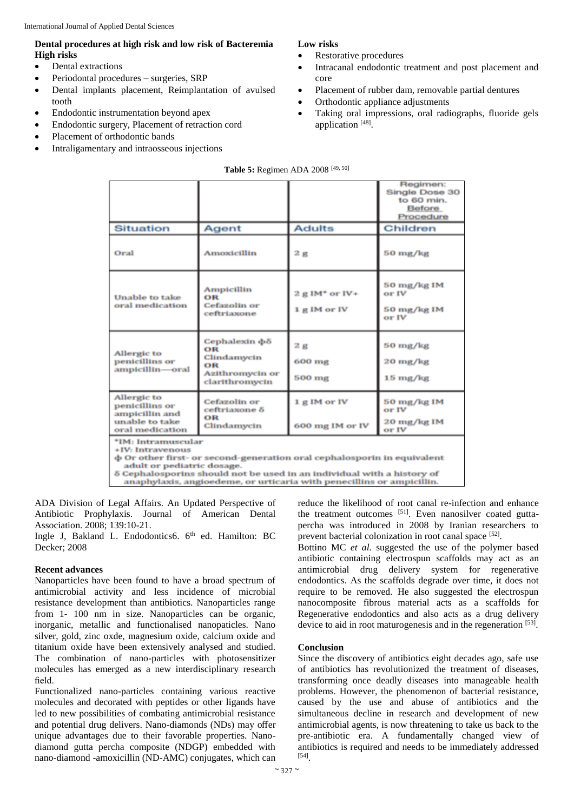# **Dental procedures at high risk and low risk of Bacteremia High risks**

- Dental extractions
- Periodontal procedures surgeries, SRP
- Dental implants placement, Reimplantation of avulsed tooth
- Endodontic instrumentation beyond apex
- Endodontic surgery, Placement of retraction cord
- Placement of orthodontic bands
- Intraligamentary and intraosseous injections

# **Low risks**

- Restorative procedures
- Intracanal endodontic treatment and post placement and core
- Placement of rubber dam, removable partial dentures
- Orthodontic appliance adjustments
- Taking oral impressions, oral radiographs, fluoride gels application [48].

| Table 5: Regimen ADA 2008 [49, 50]                                                                                                                                                                                        |                                                                                                |                                              |                                                                        |  |  |  |
|---------------------------------------------------------------------------------------------------------------------------------------------------------------------------------------------------------------------------|------------------------------------------------------------------------------------------------|----------------------------------------------|------------------------------------------------------------------------|--|--|--|
|                                                                                                                                                                                                                           |                                                                                                |                                              | Regimen:<br>Single Dose 30<br>to 60 min.<br><b>Before</b><br>Procedure |  |  |  |
| <b>Situation</b>                                                                                                                                                                                                          | Agent                                                                                          | <b>Adults</b>                                | Children                                                               |  |  |  |
| Oral                                                                                                                                                                                                                      | Amoxicillin                                                                                    | 2g                                           | 50 mg/kg                                                               |  |  |  |
| Unable to take<br>oral medication                                                                                                                                                                                         | <b>Ampicillin</b><br>OR<br>Cefazolin or<br>ceftriaxone                                         | $2$ g IM <sup>*</sup> or IV+<br>1 g IM or IV | 50 mg/kg IM<br>or IV<br>50 mg/kg IM<br>or IV                           |  |  |  |
| Allergic to<br>penicillins or<br>ampicillin-oral                                                                                                                                                                          | Cephalexin $\Phi$ <sup>5</sup><br>OR<br>Clindamycin<br>OR<br>Azithromycin or<br>clarithromycin | 2g<br>600 mg<br>500 mg                       | 50 mg/kg<br>$20 \frac{\text{mg}}{\text{kg}}$<br>15 mg/kg               |  |  |  |
| Allergic to<br>penicillins or<br>ampicillin and<br>unable to take<br>oral medication                                                                                                                                      | Cefazolin or<br>ceftriaxone δ<br>OR<br>Clindamycin                                             | 1 g IM or IV<br>600 mg IM or IV              | 50 mg/kg IM<br>or IV<br>20 mg/kg IM<br>or IV                           |  |  |  |
| *IM: Intramuscular<br>+IV: Intravenous<br>φ Or other first- or second-generation oral cephalosporin in equivalent<br>adult or pediatric dosage.<br>8 Caphalognoring ghould not be used in an individual with a history of |                                                                                                |                                              |                                                                        |  |  |  |

anaphylaxis, angioedeme, or urticaria with penecillins or ampicillin.

ADA Division of Legal Affairs. An Updated Perspective of Antibiotic Prophylaxis. Journal of American Dental Association. 2008; 139:10-21.

Ingle J, Bakland L. Endodontics6. 6<sup>th</sup> ed. Hamilton: BC Decker; 2008

## **Recent advances**

Nanoparticles have been found to have a broad spectrum of antimicrobial activity and less incidence of microbial resistance development than antibiotics. Nanoparticles range from 1- 100 nm in size. Nanoparticles can be organic, inorganic, metallic and functionalised nanopaticles. Nano silver, gold, zinc oxde, magnesium oxide, calcium oxide and titanium oxide have been extensively analysed and studied. The combination of nano-particles with photosensitizer molecules has emerged as a new interdisciplinary research field.

Functionalized nano-particles containing various reactive molecules and decorated with peptides or other ligands have led to new possibilities of combating antimicrobial resistance and potential drug delivers. Nano-diamonds (NDs) may offer unique advantages due to their favorable properties. Nanodiamond gutta percha composite (NDGP) embedded with nano-diamond -amoxicillin (ND-AMC) conjugates, which can reduce the likelihood of root canal re-infection and enhance the treatment outcomes [51]. Even nanosilver coated guttapercha was introduced in 2008 by Iranian researchers to prevent bacterial colonization in root canal space [52].

Bottino MC *et al.* suggested the use of the polymer based antibiotic containing electrospun scaffolds may act as an antimicrobial drug delivery system for regenerative endodontics. As the scaffolds degrade over time, it does not require to be removed. He also suggested the electrospun nanocomposite fibrous material acts as a scaffolds for Regenerative endodontics and also acts as a drug delivery device to aid in root maturogenesis and in the regeneration [53].

## **Conclusion**

Since the discovery of antibiotics eight decades ago, safe use of antibiotics has revolutionized the treatment of diseases, transforming once deadly diseases into manageable health problems. However, the phenomenon of bacterial resistance, caused by the use and abuse of antibiotics and the simultaneous decline in research and development of new antimicrobial agents, is now threatening to take us back to the pre-antibiotic era. A fundamentally changed view of antibiotics is required and needs to be immediately addressed [54] .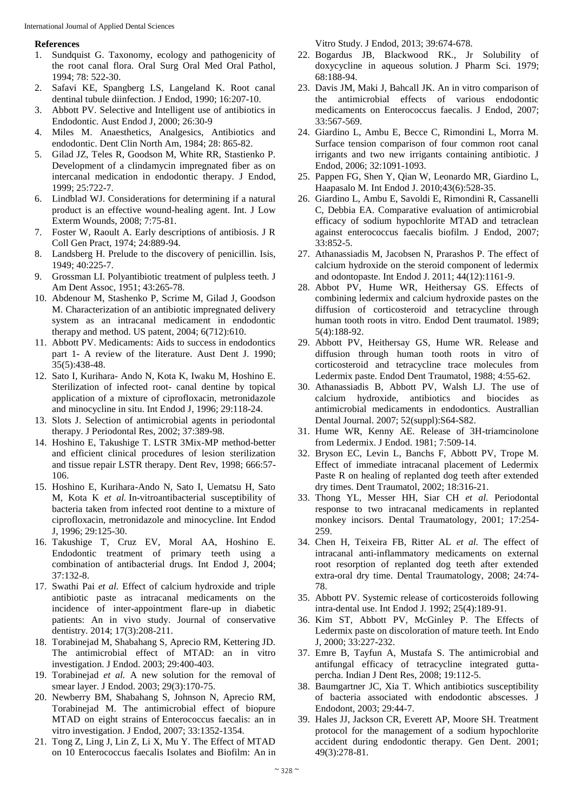#### **References**

- 1. Sundquist G. Taxonomy, ecology and pathogenicity of the root canal flora. Oral Surg Oral Med Oral Pathol, 1994; 78: 522-30.
- 2. Safavi KE, Spangberg LS, Langeland K. Root canal dentinal tubule diinfection. J Endod, 1990; 16:207-10.
- 3. Abbott PV. Selective and Intelligent use of antibiotics in Endodontic. Aust Endod J, 2000; 26:30-9
- 4. Miles M. Anaesthetics, Analgesics, Antibiotics and endodontic. Dent Clin North Am, 1984; 28: 865-82.
- 5. Gilad JZ, Teles R, Goodson M, White RR, Stastienko P. Development of a clindamycin impregnated fiber as on intercanal medication in endodontic therapy. J Endod, 1999; 25:722-7.
- 6. Lindblad WJ. Considerations for determining if a natural product is an effective wound-healing agent. Int. J Low Exterm Wounds, 2008; 7:75-81.
- 7. Foster W, Raoult A. Early descriptions of antibiosis. J R Coll Gen Pract, 1974; 24:889-94.
- 8. Landsberg H. Prelude to the discovery of penicillin. Isis, 1949; 40:225-7.
- 9. Grossman LI. Polyantibiotic treatment of pulpless teeth. J Am Dent Assoc, 1951; 43:265-78.
- 10. Abdenour M, Stashenko P, Scrime M, Gilad J, Goodson M. Characterization of an antibiotic impregnated delivery system as an intracanal medicament in endodontic therapy and method. US patent, 2004; 6(712):610.
- 11. Abbott PV. Medicaments: Aids to success in endodontics part 1- A review of the literature. Aust Dent J. 1990; 35(5):438-48.
- 12. Sato I, Kurihara- Ando N, Kota K, Iwaku M, Hoshino E. Sterilization of infected root- canal dentine by topical application of a mixture of ciprofloxacin, metronidazole and minocycline in situ. Int Endod J, 1996; 29:118-24.
- 13. Slots J. Selection of antimicrobial agents in periodontal therapy. J Periodontal Res, 2002; 37:389-98.
- 14. Hoshino E, Takushige T. LSTR 3Mix-MP method-better and efficient clinical procedures of lesion sterilization and tissue repair LSTR therapy. Dent Rev, 1998; 666:57- 106.
- 15. Hoshino E, Kurihara-Ando N, Sato I, Uematsu H, Sato M, Kota K *et al.* In-vitroantibacterial susceptibility of bacteria taken from infected root dentine to a mixture of ciprofloxacin, metronidazole and minocycline. Int Endod J, 1996; 29:125-30.
- 16. Takushige T, Cruz EV, Moral AA, Hoshino E. Endodontic treatment of primary teeth using a combination of antibacterial drugs. Int Endod J, 2004; 37:132-8.
- 17. Swathi Pai *et al.* Effect of calcium hydroxide and triple antibiotic paste as intracanal medicaments on the incidence of inter-appointment flare-up in diabetic patients: An in vivo study. Journal of conservative dentistry. 2014; 17(3):208-211.
- 18. Torabinejad M, Shabahang S, Aprecio RM, Kettering JD. The antimicrobial effect of MTAD: an in vitro investigation. J Endod. 2003; 29:400-403.
- 19. Torabinejad *et al.* A new solution for the removal of smear layer. J Endod. 2003; 29(3):170-75.
- 20. Newberry BM, Shabahang S, Johnson N, Aprecio RM, Torabinejad M. The antimicrobial effect of biopure MTAD on eight strains of Enterococcus faecalis: an in vitro investigation. J Endod, 2007; 33:1352-1354.
- 21. Tong Z, Ling J, Lin Z, Li X, Mu Y. The Effect of MTAD on 10 Enterococcus faecalis Isolates and Biofilm: An in

Vitro Study. J Endod, 2013; 39:674-678.

- 22. Bogardus JB, Blackwood RK., Jr Solubility of doxycycline in aqueous solution. J Pharm Sci. 1979; 68:188-94.
- 23. Davis JM, Maki J, Bahcall JK. An in vitro comparison of the antimicrobial effects of various endodontic medicaments on Enterococcus faecalis. J Endod, 2007; 33:567-569.
- 24. Giardino L, Ambu E, Becce C, Rimondini L, Morra M. Surface tension comparison of four common root canal irrigants and two new irrigants containing antibiotic. J Endod, 2006; 32:1091-1093.
- 25. Pappen FG, Shen Y, Qian W, Leonardo MR, Giardino L, Haapasalo M. Int Endod J. 2010;43(6):528-35.
- 26. Giardino L, Ambu E, Savoldi E, Rimondini R, Cassanelli C, Debbia EA. Comparative evaluation of antimicrobial efficacy of sodium hypochlorite MTAD and tetraclean against enterococcus faecalis biofilm. J Endod, 2007; 33:852-5.
- 27. Athanassiadis M, Jacobsen N, Prarashos P. The effect of calcium hydroxide on the steroid component of ledermix and odontopaste. Int Endod J. 2011; 44(12):1161-9.
- 28. Abbot PV, Hume WR, Heithersay GS. Effects of combining ledermix and calcium hydroxide pastes on the diffusion of corticosteroid and tetracycline through human tooth roots in vitro. Endod Dent traumatol. 1989; 5(4):188-92.
- 29. Abbott PV, Heithersay GS, Hume WR. Release and diffusion through human tooth roots in vitro of corticosteroid and tetracycline trace molecules from Ledermix paste. Endod Dent Traumatol, 1988; 4:55-62.
- 30. Athanassiadis B, Abbott PV, Walsh LJ. The use of calcium hydroxide, antibiotics and biocides as antimicrobial medicaments in endodontics. Australlian Dental Journal. 2007; 52(suppl):S64-S82.
- 31. Hume WR, Kenny AE. Release of 3H-triamcinolone from Ledermix. J Endod. 1981; 7:509-14.
- 32. Bryson EC, Levin L, Banchs F, Abbott PV, Trope M. Effect of immediate intracanal placement of Ledermix Paste R on healing of replanted dog teeth after extended dry times. Dent Traumatol, 2002; 18:316-21.
- 33. Thong YL, Messer HH, Siar CH *et al.* Periodontal response to two intracanal medicaments in replanted monkey incisors. Dental Traumatology, 2001; 17:254- 259.
- 34. Chen H, Teixeira FB, Ritter AL *et al.* The effect of intracanal anti-inflammatory medicaments on external root resorption of replanted dog teeth after extended extra-oral dry time. Dental Traumatology, 2008; 24:74- 78.
- 35. Abbott PV. Systemic release of corticosteroids following intra-dental use. Int Endod J. 1992; 25(4):189-91.
- 36. Kim ST, Abbott PV, McGinley P. The Effects of Ledermix paste on discoloration of mature teeth. Int Endo J, 2000; 33:227-232.
- 37. Emre B, Tayfun A, Mustafa S. The antimicrobial and antifungal efficacy of tetracycline integrated guttapercha. Indian J Dent Res, 2008; 19:112-5.
- 38. Baumgartner JC, Xia T. Which antibiotics susceptibility of bacteria associated with endodontic abscesses. J Endodont, 2003; 29:44-7.
- 39. Hales JJ, Jackson CR, Everett AP, Moore SH. Treatment protocol for the management of a sodium hypochlorite accident during endodontic therapy. Gen Dent. 2001; 49(3):278-81.